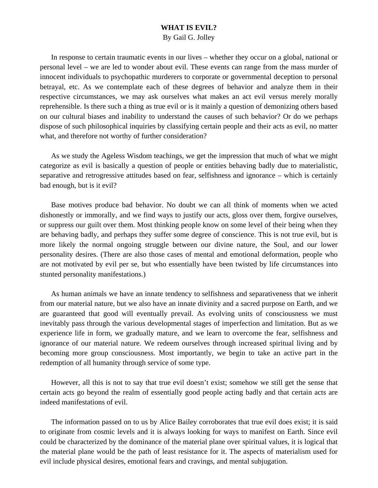## **WHAT IS EVIL?**

By Gail G. Jolley

 In response to certain traumatic events in our lives – whether they occur on a global, national or personal level – we are led to wonder about evil. These events can range from the mass murder of innocent individuals to psychopathic murderers to corporate or governmental deception to personal betrayal, etc. As we contemplate each of these degrees of behavior and analyze them in their respective circumstances, we may ask ourselves what makes an act evil versus merely morally reprehensible. Is there such a thing as true evil or is it mainly a question of demonizing others based on our cultural biases and inability to understand the causes of such behavior? Or do we perhaps dispose of such philosophical inquiries by classifying certain people and their acts as evil, no matter what, and therefore not worthy of further consideration?

 As we study the Ageless Wisdom teachings, we get the impression that much of what we might categorize as evil is basically a question of people or entities behaving badly due to materialistic, separative and retrogressive attitudes based on fear, selfishness and ignorance – which is certainly bad enough, but is it evil?

 Base motives produce bad behavior. No doubt we can all think of moments when we acted dishonestly or immorally, and we find ways to justify our acts, gloss over them, forgive ourselves, or suppress our guilt over them. Most thinking people know on some level of their being when they are behaving badly, and perhaps they suffer some degree of conscience. This is not true evil, but is more likely the normal ongoing struggle between our divine nature, the Soul, and our lower personality desires. (There are also those cases of mental and emotional deformation, people who are not motivated by evil per se, but who essentially have been twisted by life circumstances into stunted personality manifestations.)

 As human animals we have an innate tendency to selfishness and separativeness that we inherit from our material nature, but we also have an innate divinity and a sacred purpose on Earth, and we are guaranteed that good will eventually prevail. As evolving units of consciousness we must inevitably pass through the various developmental stages of imperfection and limitation. But as we experience life in form, we gradually mature, and we learn to overcome the fear, selfishness and ignorance of our material nature. We redeem ourselves through increased spiritual living and by becoming more group consciousness. Most importantly, we begin to take an active part in the redemption of all humanity through service of some type.

 However, all this is not to say that true evil doesn't exist; somehow we still get the sense that certain acts go beyond the realm of essentially good people acting badly and that certain acts are indeed manifestations of evil.

 The information passed on to us by Alice Bailey corroborates that true evil does exist; it is said to originate from cosmic levels and it is always looking for ways to manifest on Earth. Since evil could be characterized by the dominance of the material plane over spiritual values, it is logical that the material plane would be the path of least resistance for it. The aspects of materialism used for evil include physical desires, emotional fears and cravings, and mental subjugation.